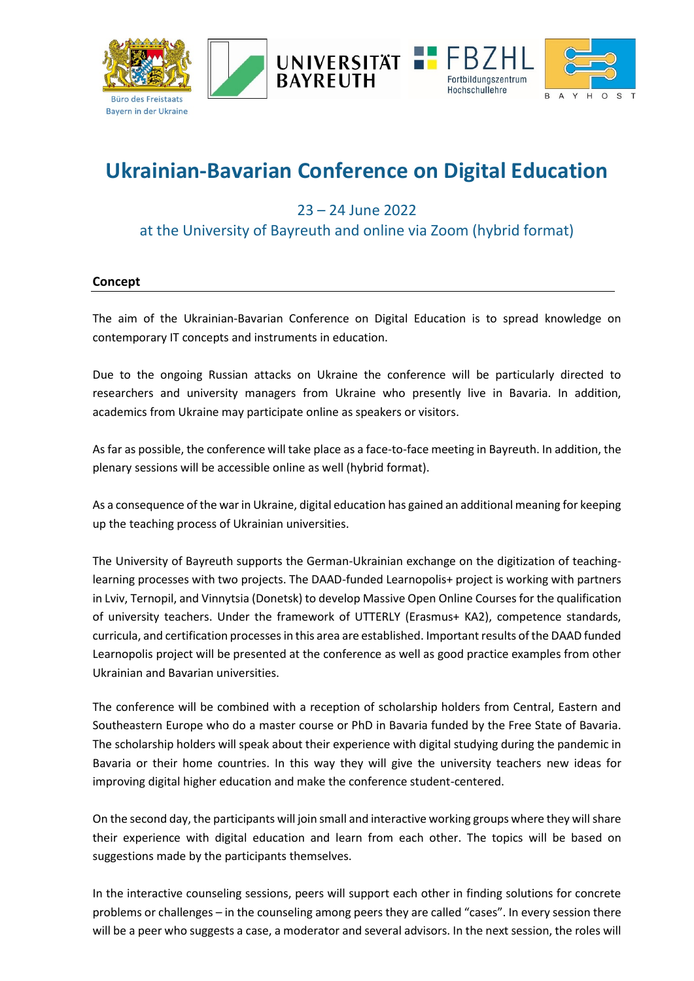





# **Ukrainian-Bavarian Conference on Digital Education**

# 23 – 24 June 2022

## at the University of Bayreuth and online via Zoom (hybrid format)

#### **Concept**

The aim of the Ukrainian-Bavarian Conference on Digital Education is to spread knowledge on contemporary IT concepts and instruments in education.

Due to the ongoing Russian attacks on Ukraine the conference will be particularly directed to researchers and university managers from Ukraine who presently live in Bavaria. In addition, academics from Ukraine may participate online as speakers or visitors.

As far as possible, the conference will take place as a face-to-face meeting in Bayreuth. In addition, the plenary sessions will be accessible online as well (hybrid format).

As a consequence of the war in Ukraine, digital education has gained an additional meaning for keeping up the teaching process of Ukrainian universities.

The University of Bayreuth supports the German-Ukrainian exchange on the digitization of teachinglearning processes with two projects. The DAAD-funded Learnopolis+ project is working with partners in Lviv, Ternopil, and Vinnytsia (Donetsk) to develop Massive Open Online Courses for the qualification of university teachers. Under the framework of UTTERLY (Erasmus+ KA2), competence standards, curricula, and certification processes in this area are established. Important results of the DAAD funded Learnopolis project will be presented at the conference as well as good practice examples from other Ukrainian and Bavarian universities.

The conference will be combined with a reception of scholarship holders from Central, Eastern and Southeastern Europe who do a master course or PhD in Bavaria funded by the Free State of Bavaria. The scholarship holders will speak about their experience with digital studying during the pandemic in Bavaria or their home countries. In this way they will give the university teachers new ideas for improving digital higher education and make the conference student-centered.

On the second day, the participants will join small and interactive working groups where they will share their experience with digital education and learn from each other. The topics will be based on suggestions made by the participants themselves.

In the interactive counseling sessions, peers will support each other in finding solutions for concrete problems or challenges – in the counseling among peers they are called "cases". In every session there will be a peer who suggests a case, a moderator and several advisors. In the next session, the roles will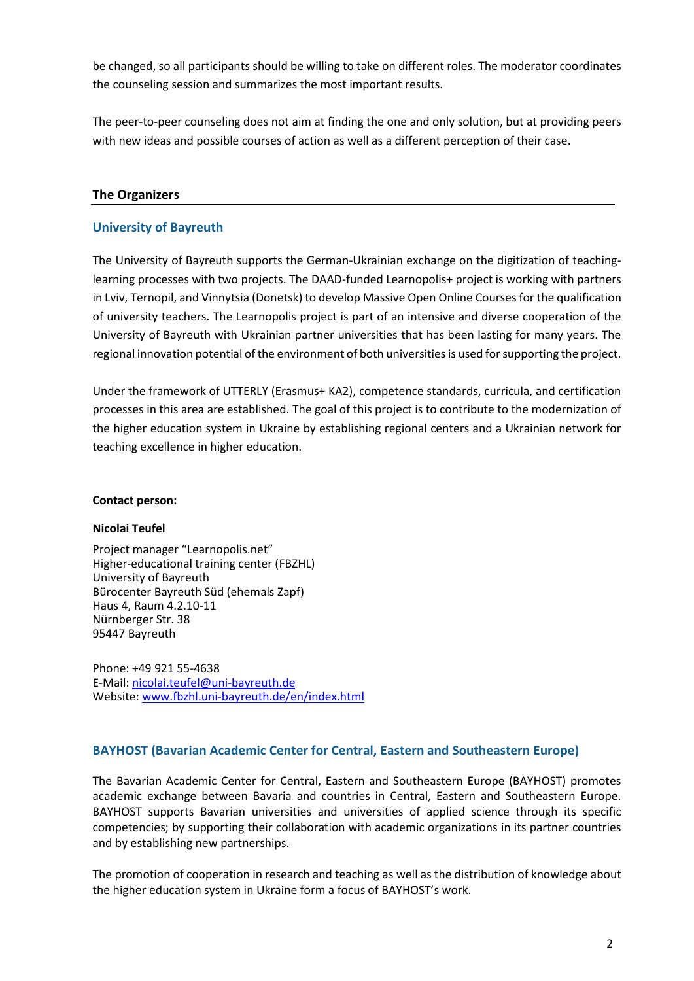be changed, so all participants should be willing to take on different roles. The moderator coordinates the counseling session and summarizes the most important results.

The peer-to-peer counseling does not aim at finding the one and only solution, but at providing peers with new ideas and possible courses of action as well as a different perception of their case.

## **The Organizers**

## **University of Bayreuth**

The University of Bayreuth supports the German-Ukrainian exchange on the digitization of teachinglearning processes with two projects. The DAAD-funded Learnopolis+ project is working with partners in Lviv, Ternopil, and Vinnytsia (Donetsk) to develop Massive Open Online Courses for the qualification of university teachers. The Learnopolis project is part of an intensive and diverse cooperation of the University of Bayreuth with Ukrainian partner universities that has been lasting for many years. The regional innovation potential of the environment of both universities is used for supporting the project.

Under the framework of UTTERLY (Erasmus+ KA2), competence standards, curricula, and certification processes in this area are established. The goal of this project is to contribute to the modernization of the higher education system in Ukraine by establishing regional centers and a Ukrainian network for teaching excellence in higher education.

#### **Contact person:**

#### **Nicolai Teufel**

Project manager "Learnopolis.net" Higher-educational training center (FBZHL) University of Bayreuth Bürocenter Bayreuth Süd (ehemals Zapf) Haus 4, Raum 4.2.10-11 Nürnberger Str. 38 95447 Bayreuth

Phone: +49 921 55-4638 E-Mail: [nicolai.teufel@uni-bayreuth.de](mailto:nicolai.teufel@uni-bayreuth.de) Website: [www.fbzhl.uni-bayreuth.de/en/index.html](http://www.fbzhl.uni-bayreuth.de/en/index.html)

#### **BAYHOST (Bavarian Academic Center for Central, Eastern and Southeastern Europe)**

The Bavarian Academic Center for Central, Eastern and Southeastern Europe (BAYHOST) promotes academic exchange between Bavaria and countries in Central, Eastern and Southeastern Europe. BAYHOST supports Bavarian universities and universities of applied science through its specific competencies; by supporting their collaboration with academic organizations in its partner countries and by establishing new partnerships.

The promotion of cooperation in research and teaching as well as the distribution of knowledge about the higher education system in Ukraine form a focus of BAYHOST's work.